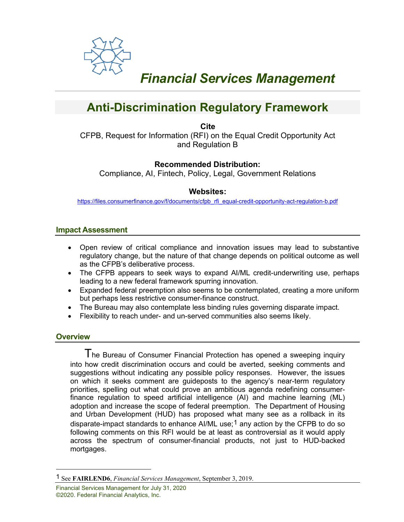

# *Financial Services Management*

## **Anti-Discrimination Regulatory Framework**

**Cite**

CFPB, Request for Information (RFI) on the Equal Credit Opportunity Act and Regulation B

### **Recommended Distribution:**

Compliance, AI, Fintech, Policy, Legal, Government Relations

### **Websites:**

[https://files.consumerfinance.gov/f/documents/cfpb\\_rfi\\_equal-credit-opportunity-act-regulation-b.pdf](https://files.consumerfinance.gov/f/documents/cfpb_rfi_equal-credit-opportunity-act-regulation-b.pdf)

#### **Impact Assessment**

- Open review of critical compliance and innovation issues may lead to substantive regulatory change, but the nature of that change depends on political outcome as well as the CFPB's deliberative process.
- The CFPB appears to seek ways to expand AI/ML credit-underwriting use, perhaps leading to a new federal framework spurring innovation.
- Expanded federal preemption also seems to be contemplated, creating a more uniform but perhaps less restrictive consumer-finance construct.
- The Bureau may also contemplate less binding rules governing disparate impact.
- Flexibility to reach under- and un-served communities also seems likely.

#### **Overview**

The Bureau of Consumer Financial Protection has opened a sweeping inquiry into how credit discrimination occurs and could be averted, seeking comments and suggestions without indicating any possible policy responses. However, the issues on which it seeks comment are guideposts to the agency's near-term regulatory priorities, spelling out what could prove an ambitious agenda redefining consumerfinance regulation to speed artificial intelligence (AI) and machine learning (ML) adoption and increase the scope of federal preemption. The Department of Housing and Urban Development (HUD) has proposed what many see as a rollback in its disparate-impact standards to enhance AI/ML use;<sup>[1](#page-0-0)</sup> any action by the CFPB to do so following comments on this RFI would be at least as controversial as it would apply across the spectrum of consumer-financial products, not just to HUD-backed mortgages.

Financial Services Management for July 31, 2020 ©2020. Federal Financial Analytics, Inc.

<span id="page-0-0"></span><sup>1</sup> See **FAIRLEND6**, *Financial Services Management*, September 3, 2019.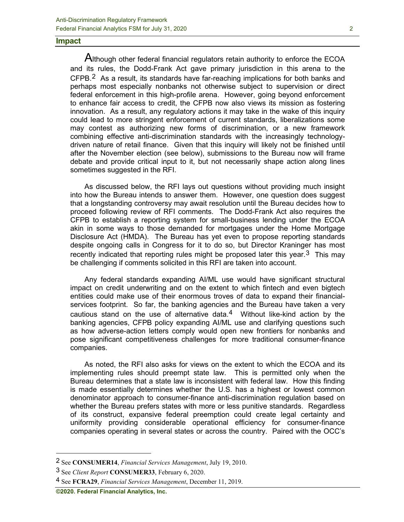Although other federal financial regulators retain authority to enforce the ECOA and its rules, the Dodd-Frank Act gave primary jurisdiction in this arena to the CFPB.[2](#page-1-0) As a result, its standards have far-reaching implications for both banks and perhaps most especially nonbanks not otherwise subject to supervision or direct federal enforcement in this high-profile arena. However, going beyond enforcement to enhance fair access to credit, the CFPB now also views its mission as fostering innovation. As a result, any regulatory actions it may take in the wake of this inquiry could lead to more stringent enforcement of current standards, liberalizations some may contest as authorizing new forms of discrimination, or a new framework combining effective anti-discrimination standards with the increasingly technologydriven nature of retail finance. Given that this inquiry will likely not be finished until after the November election (see below), submissions to the Bureau now will frame debate and provide critical input to it, but not necessarily shape action along lines sometimes suggested in the RFI.

As discussed below, the RFI lays out questions without providing much insight into how the Bureau intends to answer them. However, one question does suggest that a longstanding controversy may await resolution until the Bureau decides how to proceed following review of RFI comments. The Dodd-Frank Act also requires the CFPB to establish a reporting system for small-business lending under the ECOA akin in some ways to those demanded for mortgages under the Home Mortgage Disclosure Act (HMDA). The Bureau has yet even to propose reporting standards despite ongoing calls in Congress for it to do so, but Director Kraninger has most recently indicated that reporting rules might be proposed later this year.<sup>[3](#page-1-1)</sup> This may be challenging if comments solicited in this RFI are taken into account.

Any federal standards expanding AI/ML use would have significant structural impact on credit underwriting and on the extent to which fintech and even bigtech entities could make use of their enormous troves of data to expand their financialservices footprint. So far, the banking agencies and the Bureau have taken a very cautious stand on the use of alternative data. $4$  Without like-kind action by the banking agencies, CFPB policy expanding AI/ML use and clarifying questions such as how adverse-action letters comply would open new frontiers for nonbanks and pose significant competitiveness challenges for more traditional consumer-finance companies.

As noted, the RFI also asks for views on the extent to which the ECOA and its implementing rules should preempt state law. This is permitted only when the Bureau determines that a state law is inconsistent with federal law. How this finding is made essentially determines whether the U.S. has a highest or lowest common denominator approach to consumer-finance anti-discrimination regulation based on whether the Bureau prefers states with more or less punitive standards. Regardless of its construct, expansive federal preemption could create legal certainty and uniformity providing considerable operational efficiency for consumer-finance companies operating in several states or across the country. Paired with the OCC's

<span id="page-1-0"></span><sup>2</sup> See **CONSUMER14**, *Financial Services Management*, July 19, 2010.

<span id="page-1-1"></span><sup>3</sup> See *Client Report* **CONSUMER33**, February 6, 2020.

<span id="page-1-2"></span><sup>4</sup> See **FCRA29**, *Financial Services Management*, December 11, 2019.